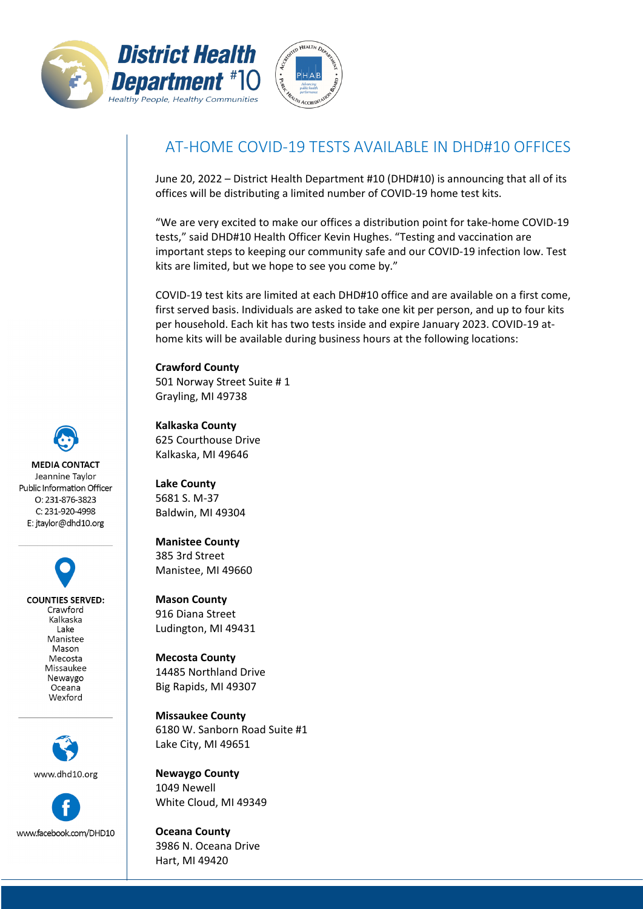



## AT-HOME COVID-19 TESTS AVAILABLE IN DHD#10 OFFICES

June 20, 2022 – District Health Department #10 (DHD#10) is announcing that all of its offices will be distributing a limited number of COVID-19 home test kits.

"We are very excited to make our offices a distribution point for take-home COVID-19 tests," said DHD#10 Health Officer Kevin Hughes. "Testing and vaccination are important steps to keeping our community safe and our COVID-19 infection low. Test kits are limited, but we hope to see you come by."

COVID-19 test kits are limited at each DHD#10 office and are available on a first come, first served basis. Individuals are asked to take one kit per person, and up to four kits per household. Each kit has two tests inside and expire January 2023. COVID-19 athome kits will be available during business hours at the following locations:

**Crawford County** 501 Norway Street Suite # 1 Grayling, MI 49738

**Kalkaska County** 625 Courthouse Drive Kalkaska, MI 49646

**Lake County** 5681 S. M-37 Baldwin, MI 49304

**Manistee County** 385 3rd Street Manistee, MI 49660

**Mason County** 916 Diana Street Ludington, MI 49431

**Mecosta County** 14485 Northland Drive Big Rapids, MI 49307

**Missaukee County** 6180 W. Sanborn Road Suite #1 Lake City, MI 49651

**Newaygo County** 1049 Newell White Cloud, MI 49349

**Oceana County** 3986 N. Oceana Drive Hart, MI 49420



C: 231-920-4998

E: jtaylor@dhd10.org **COUNTIES SERVED:** Crawford Kalkaska Lake

Manistee Mason Mecosta Missaukee Newaygo Oceana Wexford



www.facebook.com/DHD10